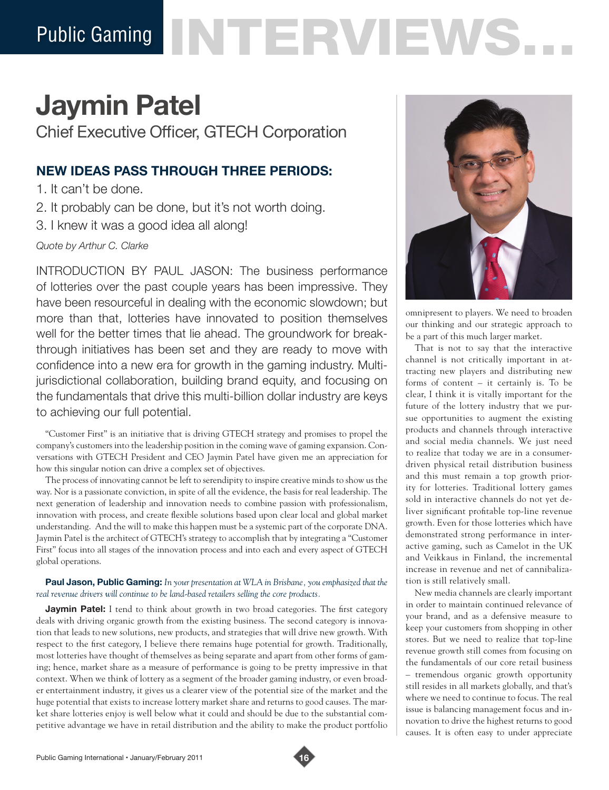# Public Gaming NTERVIEWS

## **Jaymin Patel**

Chief Executive Officer, GTECH Corporation

### **NEW IDEAS PASS THROUGH THREE PERIODS:**

- 1. It can't be done.
- 2. It probably can be done, but it's not worth doing.
- 3. I knew it was a good idea all along!

*Quote by Arthur C. Clarke*

INTRODUCTION BY PAUL JASON: The business performance of lotteries over the past couple years has been impressive. They have been resourceful in dealing with the economic slowdown; but more than that, lotteries have innovated to position themselves well for the better times that lie ahead. The groundwork for breakthrough initiatives has been set and they are ready to move with confidence into a new era for growth in the gaming industry. Multijurisdictional collaboration, building brand equity, and focusing on the fundamentals that drive this multi-billion dollar industry are keys to achieving our full potential.

"Customer First" is an initiative that is driving GTECH strategy and promises to propel the company's customers into the leadership position in the coming wave of gaming expansion. Conversations with GTECH President and CEO Jaymin Patel have given me an appreciation for how this singular notion can drive a complex set of objectives.

The process of innovating cannot be left to serendipity to inspire creative minds to show us the way. Nor is a passionate conviction, in spite of all the evidence, the basis for real leadership. The next generation of leadership and innovation needs to combine passion with professionalism, innovation with process, and create flexible solutions based upon clear local and global market understanding. And the will to make this happen must be a systemic part of the corporate DNA. Jaymin Patel is the architect of GTECH's strategy to accomplish that by integrating a "Customer First" focus into all stages of the innovation process and into each and every aspect of GTECH global operations.

#### **Paul Jason, Public Gaming:** *In your presentation at WLA in Brisbane, you emphasized that the real revenue drivers will continue to be land-based retailers selling the core products.*

**Jaymin Patel:** I tend to think about growth in two broad categories. The first category deals with driving organic growth from the existing business. The second category is innovation that leads to new solutions, new products, and strategies that will drive new growth. With respect to the first category, I believe there remains huge potential for growth. Traditionally, most lotteries have thought of themselves as being separate and apart from other forms of gaming; hence, market share as a measure of performance is going to be pretty impressive in that context. When we think of lottery as a segment of the broader gaming industry, or even broader entertainment industry, it gives us a clearer view of the potential size of the market and the huge potential that exists to increase lottery market share and returns to good causes. The market share lotteries enjoy is well below what it could and should be due to the substantial competitive advantage we have in retail distribution and the ability to make the product portfolio



omnipresent to players. We need to broaden our thinking and our strategic approach to be a part of this much larger market.

That is not to say that the interactive channel is not critically important in attracting new players and distributing new forms of content – it certainly is. To be clear, I think it is vitally important for the future of the lottery industry that we pursue opportunities to augment the existing products and channels through interactive and social media channels. We just need to realize that today we are in a consumerdriven physical retail distribution business and this must remain a top growth priority for lotteries. Traditional lottery games sold in interactive channels do not yet deliver significant profitable top-line revenue growth. Even for those lotteries which have demonstrated strong performance in interactive gaming, such as Camelot in the UK and Veikkaus in Finland, the incremental increase in revenue and net of cannibalization is still relatively small.

New media channels are clearly important in order to maintain continued relevance of your brand, and as a defensive measure to keep your customers from shopping in other stores. But we need to realize that top-line revenue growth still comes from focusing on the fundamentals of our core retail business – tremendous organic growth opportunity still resides in all markets globally, and that's where we need to continue to focus. The real issue is balancing management focus and innovation to drive the highest returns to good causes. It is often easy to under appreciate

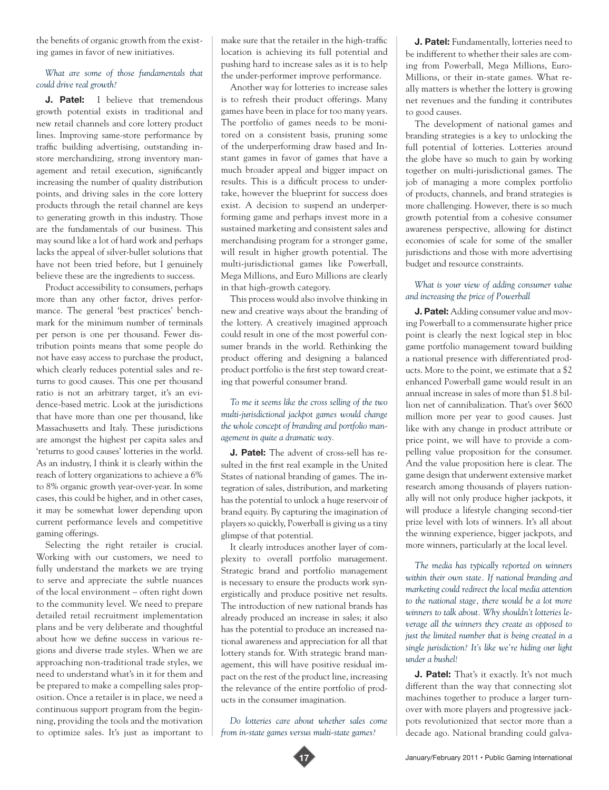the benefits of organic growth from the existing games in favor of new initiatives.

#### *What are some of those fundamentals that could drive real growth?*

**J. Patel:** I believe that tremendous growth potential exists in traditional and new retail channels and core lottery product lines. Improving same-store performance by traffic building advertising, outstanding instore merchandizing, strong inventory management and retail execution, significantly increasing the number of quality distribution points, and driving sales in the core lottery products through the retail channel are keys to generating growth in this industry. Those are the fundamentals of our business. This may sound like a lot of hard work and perhaps lacks the appeal of silver-bullet solutions that have not been tried before, but I genuinely believe these are the ingredients to success.

Product accessibility to consumers, perhaps more than any other factor, drives performance. The general 'best practices' benchmark for the minimum number of terminals per person is one per thousand. Fewer distribution points means that some people do not have easy access to purchase the product, which clearly reduces potential sales and returns to good causes. This one per thousand ratio is not an arbitrary target, it's an evidence-based metric. Look at the jurisdictions that have more than one per thousand, like Massachusetts and Italy. These jurisdictions are amongst the highest per capita sales and 'returns to good causes' lotteries in the world. As an industry, I think it is clearly within the reach of lottery organizations to achieve a 6% to 8% organic growth year-over-year. In some cases, this could be higher, and in other cases, it may be somewhat lower depending upon current performance levels and competitive gaming offerings.

Selecting the right retailer is crucial. Working with our customers, we need to fully understand the markets we are trying to serve and appreciate the subtle nuances of the local environment – often right down to the community level. We need to prepare detailed retail recruitment implementation plans and be very deliberate and thoughtful about how we define success in various regions and diverse trade styles. When we are approaching non-traditional trade styles, we need to understand what's in it for them and be prepared to make a compelling sales proposition. Once a retailer is in place, we need a continuous support program from the beginning, providing the tools and the motivation to optimize sales. It's just as important to

make sure that the retailer in the high-traffic location is achieving its full potential and pushing hard to increase sales as it is to help the under-performer improve performance.

Another way for lotteries to increase sales is to refresh their product offerings. Many games have been in place for too many years. The portfolio of games needs to be monitored on a consistent basis, pruning some of the underperforming draw based and Instant games in favor of games that have a much broader appeal and bigger impact on results. This is a difficult process to undertake, however the blueprint for success does exist. A decision to suspend an underperforming game and perhaps invest more in a sustained marketing and consistent sales and merchandising program for a stronger game, will result in higher growth potential. The multi-jurisdictional games like Powerball, Mega Millions, and Euro Millions are clearly in that high-growth category.

This process would also involve thinking in new and creative ways about the branding of the lottery. A creatively imagined approach could result in one of the most powerful consumer brands in the world. Rethinking the product offering and designing a balanced product portfolio is the first step toward creating that powerful consumer brand.

#### *To me it seems like the cross selling of the two multi-jurisdictional jackpot games would change the whole concept of branding and portfolio management in quite a dramatic way.*

**J. Patel:** The advent of cross-sell has resulted in the first real example in the United States of national branding of games. The integration of sales, distribution, and marketing has the potential to unlock a huge reservoir of brand equity. By capturing the imagination of players so quickly, Powerball is giving us a tiny glimpse of that potential.

It clearly introduces another layer of complexity to overall portfolio management. Strategic brand and portfolio management is necessary to ensure the products work synergistically and produce positive net results. The introduction of new national brands has already produced an increase in sales; it also has the potential to produce an increased national awareness and appreciation for all that lottery stands for. With strategic brand management, this will have positive residual impact on the rest of the product line, increasing the relevance of the entire portfolio of products in the consumer imagination.

*Do lotteries care about whether sales come from in-state games versus multi-state games?*

**J. Patel:** Fundamentally, lotteries need to be indifferent to whether their sales are coming from Powerball, Mega Millions, Euro-Millions, or their in-state games. What really matters is whether the lottery is growing net revenues and the funding it contributes to good causes.

The development of national games and branding strategies is a key to unlocking the full potential of lotteries. Lotteries around the globe have so much to gain by working together on multi-jurisdictional games. The job of managing a more complex portfolio of products, channels, and brand strategies is more challenging. However, there is so much growth potential from a cohesive consumer awareness perspective, allowing for distinct economies of scale for some of the smaller jurisdictions and those with more advertising budget and resource constraints.

#### *What is your view of adding consumer value and increasing the price of Powerball*

**J. Patel:** Adding consumer value and moving Powerball to a commensurate higher price point is clearly the next logical step in bloc game portfolio management toward building a national presence with differentiated products. More to the point, we estimate that a \$2 enhanced Powerball game would result in an annual increase in sales of more than \$1.8 billion net of cannibalization. That's over \$600 million more per year to good causes. Just like with any change in product attribute or price point, we will have to provide a compelling value proposition for the consumer. And the value proposition here is clear. The game design that underwent extensive market research among thousands of players nationally will not only produce higher jackpots, it will produce a lifestyle changing second-tier prize level with lots of winners. It's all about the winning experience, bigger jackpots, and more winners, particularly at the local level.

*The media has typically reported on winners within their own state. If national branding and marketing could redirect the local media attention to the national stage, there would be a lot more winners to talk about. Why shouldn't lotteries leverage all the winners they create as opposed to just the limited number that is being created in a single jurisdiction? It's like we're hiding our light under a bushel!* 

**J. Patel:** That's it exactly. It's not much different than the way that connecting slot machines together to produce a larger turnover with more players and progressive jackpots revolutionized that sector more than a decade ago. National branding could galva-